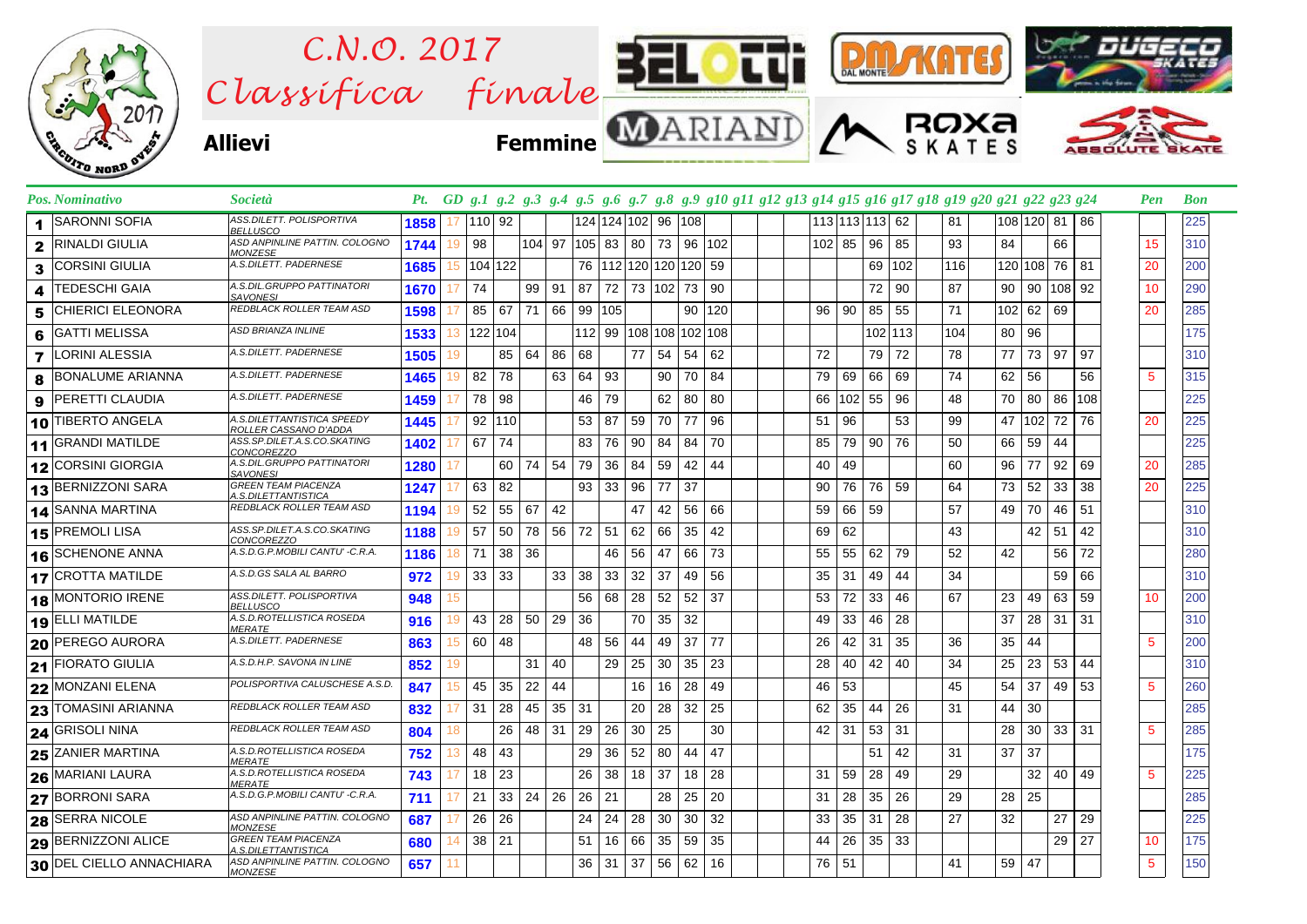

| <b>SARONNI SOFIA</b><br>1     | ASS.DILETT. POLISPORTIVA<br><b>BELLUSCO</b>         | 1858 | 17 | 110 92     |    |              |    | 124 124 102 96 108              |    |              |    |    |                 | 113 113 113 62 |        |    |         | 81  |    | 108 120 81 86   |                 |     |                 | 225             |
|-------------------------------|-----------------------------------------------------|------|----|------------|----|--------------|----|---------------------------------|----|--------------|----|----|-----------------|----------------|--------|----|---------|-----|----|-----------------|-----------------|-----|-----------------|-----------------|
| <b>RINALDI GIULIA</b><br>2    | ASD ANPINLINE PATTIN. COLOGNO<br><b>MONZESE</b>     | 1744 | 19 | 98         |    | 104 97       |    | 105 83 80                       |    |              | 73 | 96 | 102             | 102 85         |        | 96 | 85      | 93  | 84 |                 | 66              |     | 15              | 310             |
| <b>CORSINI GIULIA</b><br>3    | A.S.DILETT. PADERNESE                               | 1685 | 15 | 104 122    |    |              |    | 76   112   120   120   120   59 |    |              |    |    |                 |                |        | 69 | 102     | 116 |    | 120 108 76 81   |                 |     | 20              | 200             |
| <b>TEDESCHI GAIA</b><br>4     | A.S.DIL.GRUPPO PATTINATORI<br><b>SAVONESI</b>       | 1670 |    | 74         |    | 99   91      |    | 87                              |    |              |    |    | 72 73 102 73 90 |                |        | 72 | 90      | 87  | 90 |                 | 90 108 92       |     | 10              | 290             |
| <b>CHIERICI ELEONORA</b><br>5 | <b>REDBLACK ROLLER TEAM ASD</b>                     | 1598 |    | 67<br>85   |    | 71 66        |    | 99 105                          |    |              |    |    | 90 120          | 96             | 90     | 85 | 55      | 71  |    | 102 62          | 69              |     | 20              | 285             |
| <b>GATTI MELISSA</b><br>6     | <b>ASD BRIANZA INLINE</b>                           | 1533 |    | 13 122 104 |    |              |    | 112 99 108 108 102 108          |    |              |    |    |                 |                |        |    | 102 113 | 104 | 80 | 96              |                 |     |                 | 175             |
| <b>LORINI ALESSIA</b><br>7    | A.S.DILETT. PADERNESE                               | 1505 | 19 |            | 85 | $64 \mid 86$ |    | 68                              |    | 77           | 54 | 54 | 62              | 72             |        | 79 | 72      | 78  | 77 |                 | 73 97           | 97  |                 | 310             |
| <b>BONALUME ARIANNA</b><br>8  | A.S.DILETT. PADERNESE                               | 1465 | 19 | 82         | 78 |              | 63 | 64                              | 93 |              | 90 | 70 | 84              | 79             | 69     | 66 | 69      | 74  | 62 | 56              |                 | 56  | $5^{\circ}$     | 315             |
| <b>PERETTI CLAUDIA</b><br>9   | A.S.DILETT. PADERNESE                               | 1459 |    | 78         | 98 |              |    | 46                              | 79 |              | 62 | 80 | 80              | 66             | 102 55 |    | 96      | 48  | 70 | 80              | 86 108          |     |                 | 225             |
| 10 TIBERTO ANGELA             | A.S.DILETTANTISTICA SPEEDY<br>ROLLER CASSANO D'ADDA | 1445 |    | 92<br>110  |    |              |    | 53                              | 87 | 59           | 70 | 77 | 96              | 51             | 96     |    | 53      | 99  | 47 |                 | 102 72          | 76  | 20              | 225             |
| 11 GRANDI MATILDE             | ASS.SP.DILET.A.S.CO.SKATING<br>CONCOREZZO           | 1402 |    | 67<br>74   |    |              |    | 83                              | 76 | 90           | 84 | 84 | 70              | 85             | 79     | 90 | 76      | 50  | 66 | 59              | 44              |     |                 | 225             |
| 12 CORSINI GIORGIA            | A.S.DIL.GRUPPO PATTINATORI<br><b>SAVONESI</b>       | 1280 |    |            | 60 | 74 54        |    | 79                              | 36 | 84           | 59 | 42 | 44              | 40             | 49     |    |         | 60  | 96 | 77              | 92              | 69  | 20              | 285             |
| 13 BERNIZZONI SARA            | <b>GREEN TEAM PIACENZA</b><br>A.S.DILETTANTISTICA   | 1247 |    | 63<br>82   |    |              |    | 93 <sub>1</sub>                 | 33 | 96           | 77 | 37 |                 | 90             | 76     | 76 | 59      | 64  | 73 | 52              | 33              | 38  | 20              | 225             |
| 14 SANNA MARTINA              | REDBLACK ROLLER TEAM ASD                            | 1194 |    | 52         | 55 | 67           | 42 |                                 |    | 47           | 42 | 56 | 66              | 59             | 66     | 59 |         | 57  | 49 | 70              | 46              | 51  |                 | 310             |
| 15 PREMOLI LISA               | ASS.SP.DILET.A.S.CO.SKATING<br><b>CONCOREZZO</b>    | 1188 |    | 57<br>50   |    | 78           | 56 | 72                              | 51 | 62           | 66 | 35 | 42              | 69             | 62     |    |         | 43  |    | 42              | 51              | 42  |                 | 310             |
| 16 SCHENONE ANNA              | A.S.D.G.P.MOBILI CANTU' -C.R.A.                     | 1186 | 18 | 71         | 38 | 36           |    |                                 |    | 46 56        | 47 | 66 | 73              | 55             | 55     | 62 | 79      | 52  | 42 |                 | 56              | 72  |                 | 280             |
| 17 CROTTA MATILDE             | A.S.D.GS SALA AL BARRO                              | 972  | 19 | 33<br>33   |    |              | 33 | 38                              |    | $33 \mid 32$ | 37 | 49 | 56              | 35             | 31     | 49 | 44      | 34  |    |                 | 59              | 66  |                 | 310             |
| 18 MONTORIO IRENE             | ASS.DILETT. POLISPORTIVA<br><b>BELLUSCO</b>         | 948  | 15 |            |    |              |    | 56                              |    | 68 28        | 52 | 52 | 37              | 53             | 72     | 33 | 46      | 67  | 23 | 49              | 63              | 59  | 10 <sup>1</sup> | 200             |
| 19 ELLI MATILDE               | A.S.D.ROTELLISTICA ROSEDA<br><b>MERATE</b>          | 916  | 19 | 43         | 28 | 50 29        |    | 36                              |    | 70           | 35 | 32 |                 | 49             | 33     | 46 | 28      |     | 37 | 28              | 31 <sup>1</sup> | -31 |                 | 310             |
| 20 PEREGO AURORA              | A.S.DILETT, PADERNESE                               | 863  | 15 | 60         | 48 |              |    | 48                              | 56 | 44           | 49 | 37 | 77              | 26             | 42     | 31 | 35      | 36  | 35 | 44              |                 |     | -5              | 200             |
| 21 FIORATO GIULIA             | A.S.D.H.P. SAVONA IN LINE                           | 852  | 19 |            |    | 31           | 40 |                                 |    | $29 \mid 25$ | 30 | 35 | 23              | 28             | 40     | 42 | 40      | 34  | 25 | 23              | 53              | 44  |                 | 310             |
| 22 MONZANI ELENA              | POLISPORTIVA CALUSCHESE A.S.D.                      | 847  | 15 | 45         | 35 | 22           | 44 |                                 |    | 16           | 16 | 28 | 49              | 46             | 53     |    |         | 45  | 54 | 37              | 49 53           |     | $5\phantom{.0}$ | 260             |
| 23 TOMASINI ARIANNA           | REDBLACK ROLLER TEAM ASD                            | 832  |    | 31         | 28 | 45           | 35 | 31                              |    | 20           | 28 | 32 | 25              | 62             | 35     | 44 | 26      | 31  | 44 | 30              |                 |     |                 | 285             |
| <b>24 GRISOLI NINA</b>        | REDBLACK ROLLER TEAM ASD                            | 804  | 18 |            | 26 | 48 31        |    | 29                              | 26 | 30           | 25 |    | 30              | 42             | 31     | 53 | 31      |     | 28 | 30 <sup>1</sup> | $33 \mid 31$    |     | 5               | 285             |
| 25 ZANIER MARTINA             | A.S.D.ROTELLISTICA ROSEDA<br><b>MERATE</b>          | 752  | 13 | 48         | 43 |              |    | 29                              |    | 36 52        | 80 | 44 | 47              |                |        | 51 | 42      | 31  | 37 | 37              |                 |     |                 | $\frac{1}{175}$ |
| 26 MARIANI LAURA              | A.S.D.ROTELLISTICA ROSEDA<br><b>MERATE</b>          | 743  |    | 18         | 23 |              |    | 26                              |    | $38$ 18      | 37 | 18 | 28              | 31             | 59     | 28 | 49      | 29  |    | 32              | 40              | 49  | $5^{\circ}$     | 225             |
| 27 BORRONI SARA               | A.S.D.G.P.MOBILI CANTU' -C.R.A.                     | 711  |    | 21         | 33 | $24 \mid 26$ |    | $26 \mid$                       | 21 |              | 28 | 25 | 20              | 31             | 28     | 35 | 26      | 29  | 28 | 25              |                 |     |                 | 285             |
| 28 SERRA NICOLE               | ASD ANPINLINE PATTIN. COLOGNO<br><b>MONZESE</b>     | 687  |    | 26<br>26   |    |              |    | 24                              | 24 | 28           | 30 | 30 | 32              | 33             | 35     | 31 | 28      | 27  | 32 |                 | 27              | 29  |                 | 225             |
| 29 BERNIZZONI ALICE           | <b>GREEN TEAM PIACENZA</b><br>A.S.DILETTANTISTICA   | 680  | 14 | 21<br>38   |    |              |    | 51                              |    | 16 66        | 35 | 59 | 35              | 44             | 26     | 35 | 33      |     |    |                 | 29              | 27  | 10              | 175             |
| 30 DEL CIELLO ANNACHIARA      | ASD ANPINLINE PATTIN. COLOGNO<br><b>MONZESE</b>     | 657  | 11 |            |    |              |    | 36                              | 31 | 37 56        |    | 62 | 16              | 76 51          |        |    |         | 41  | 59 | 47              |                 |     | $5\phantom{.0}$ | 150             |